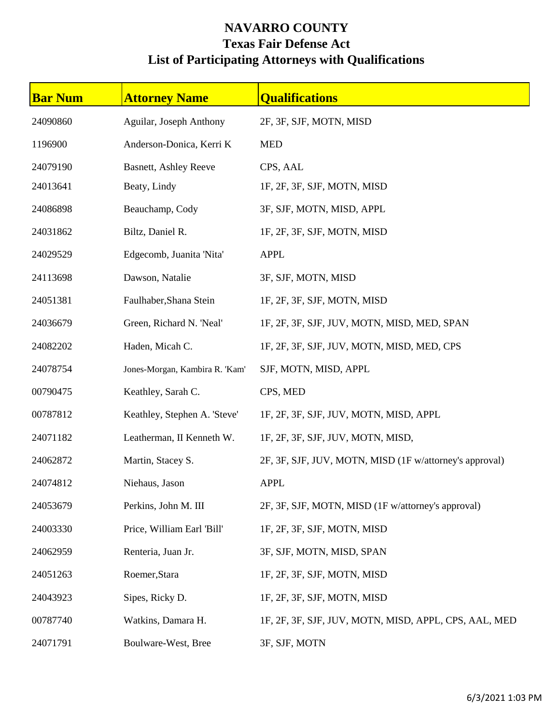## **NAVARRO COUNTY Texas Fair Defense Act List of Participating Attorneys with Qualifications**

| <b>Bar Num</b> | <b>Attorney Name</b>           | <b>Qualifications</b>                                   |
|----------------|--------------------------------|---------------------------------------------------------|
| 24090860       | Aguilar, Joseph Anthony        | 2F, 3F, SJF, MOTN, MISD                                 |
| 1196900        | Anderson-Donica, Kerri K       | <b>MED</b>                                              |
| 24079190       | <b>Basnett, Ashley Reeve</b>   | CPS, AAL                                                |
| 24013641       | Beaty, Lindy                   | 1F, 2F, 3F, SJF, MOTN, MISD                             |
| 24086898       | Beauchamp, Cody                | 3F, SJF, MOTN, MISD, APPL                               |
| 24031862       | Biltz, Daniel R.               | 1F, 2F, 3F, SJF, MOTN, MISD                             |
| 24029529       | Edgecomb, Juanita 'Nita'       | <b>APPL</b>                                             |
| 24113698       | Dawson, Natalie                | 3F, SJF, MOTN, MISD                                     |
| 24051381       | Faulhaber, Shana Stein         | 1F, 2F, 3F, SJF, MOTN, MISD                             |
| 24036679       | Green, Richard N. 'Neal'       | 1F, 2F, 3F, SJF, JUV, MOTN, MISD, MED, SPAN             |
| 24082202       | Haden, Micah C.                | 1F, 2F, 3F, SJF, JUV, MOTN, MISD, MED, CPS              |
| 24078754       | Jones-Morgan, Kambira R. 'Kam' | SJF, MOTN, MISD, APPL                                   |
| 00790475       | Keathley, Sarah C.             | CPS, MED                                                |
| 00787812       | Keathley, Stephen A. 'Steve'   | 1F, 2F, 3F, SJF, JUV, MOTN, MISD, APPL                  |
| 24071182       | Leatherman, II Kenneth W.      | 1F, 2F, 3F, SJF, JUV, MOTN, MISD,                       |
| 24062872       | Martin, Stacey S.              | 2F, 3F, SJF, JUV, MOTN, MISD (1F w/attorney's approval) |
| 24074812       | Niehaus, Jason                 | <b>APPL</b>                                             |
| 24053679       | Perkins, John M. III           | 2F, 3F, SJF, MOTN, MISD (1F w/attorney's approval)      |
| 24003330       | Price, William Earl 'Bill'     | 1F, 2F, 3F, SJF, MOTN, MISD                             |
| 24062959       | Renteria, Juan Jr.             | 3F, SJF, MOTN, MISD, SPAN                               |
| 24051263       | Roemer, Stara                  | 1F, 2F, 3F, SJF, MOTN, MISD                             |
| 24043923       | Sipes, Ricky D.                | 1F, 2F, 3F, SJF, MOTN, MISD                             |
| 00787740       | Watkins, Damara H.             | 1F, 2F, 3F, SJF, JUV, MOTN, MISD, APPL, CPS, AAL, MED   |
| 24071791       | Boulware-West, Bree            | 3F, SJF, MOTN                                           |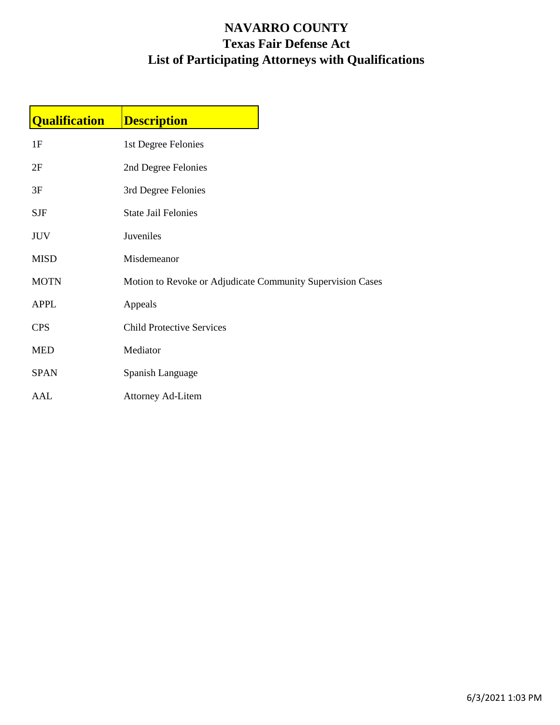## **NAVARRO COUNTY Texas Fair Defense Act List of Participating Attorneys with Qualifications**

| <b>Qualification</b> | <b>Description</b>                                         |  |
|----------------------|------------------------------------------------------------|--|
| 1F                   | 1st Degree Felonies                                        |  |
| 2F                   | 2nd Degree Felonies                                        |  |
| 3F                   | 3rd Degree Felonies                                        |  |
| <b>SJF</b>           | <b>State Jail Felonies</b>                                 |  |
| <b>JUV</b>           | Juveniles                                                  |  |
| <b>MISD</b>          | Misdemeanor                                                |  |
| <b>MOTN</b>          | Motion to Revoke or Adjudicate Community Supervision Cases |  |
| <b>APPL</b>          | Appeals                                                    |  |
| <b>CPS</b>           | <b>Child Protective Services</b>                           |  |
| <b>MED</b>           | Mediator                                                   |  |
| <b>SPAN</b>          | Spanish Language                                           |  |
| AAL                  | <b>Attorney Ad-Litem</b>                                   |  |